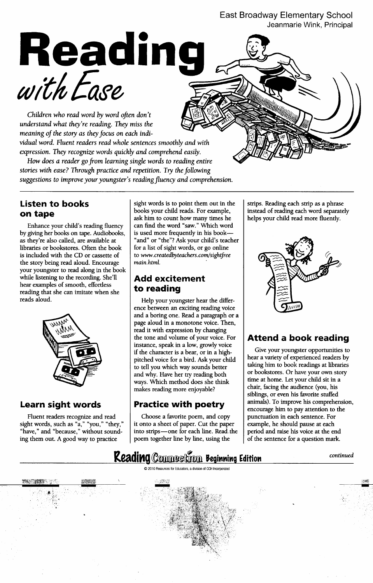## East Broadway Elementary School Jeanmarie Wink, Principal



Children who read word by word often don't understand what they're reading. They miss the meaning of the story as they focus on each individual word. Fluent readers read whole sentences smoothly and with

expression. They recognize words quickly and comprehend easily.

How does a reader go from learning single words to reading entire stories with ease? Through practice and repetition. Try the following suggestions to improve your youngster's reading fluency and comprehension.

by giving her books on tape. Audiobooks, is used more frequently in his bookas they're also called, are available at "and" or "the"? Ask your child's teacher libraries or bookstores. Often the book  $\left| \right|$  for a list of sight words, or go online is included with the CD or cassette of  $\|$  to www.createdbyteachers.com/sightfree the story being read aloud. Encourage  $\parallel$  main.html. your youngster to read along in the book while listening to the recording. She'll  $\Box$  **Add excitement** hear examples of smooth, effortless  $\mathbf{t}$  . The examples of smooth, effortless  $\mathbf{t}$ reading that she can imitate when she reads aloud. The property of the Help your youngster hear the differ-



sight words, such as "a," "you," "they," it onto a sheet of paper. Cut the paper example, he should pause at each "have," and "because," without sound-<br>"have," and "because," without sound-<br>"have," and "because," without s ing them out. A good way to practice  $\Box$  poem together line by line, using the  $\Box$  of the sentence for a question mark.

**Listen to books** sight words is to point them out in the strips. Reading each strip as a phrase **on tape** books your child reads. For example, instead of reading each word separately ask him to count how many times he  $\parallel$  helps your child read more fluently. Enhance your child's reading fluency  $\int$  can find the word "saw." Which word

ence between an exciting reading voice and a boring one. Read a paragraph or a page aloud in a monotone voice. Then, read it with expression by changing the tone and volume of your voice. For  $\parallel$  Attend a book reading instance, speak in a low, growly voice if the character is a bear, or in a high- $\frac{1}{2}$  Give your youngster opportunities to pitched voice for a bird. Ask your child  $\parallel$  hear a variety of experienced readers by to tell you which way sounds better taking him to book readings at libraries and why. Have her try reading both  $\sigma$  bookstores. Or have your own story ways. Which method does she think  $\frac{1}{\pi}$  time at home. Let your child sit in a makes reading more enjoyable? chair, facing the audience (you, his

Fluent readers recognize and read  $\Box$  Choose a favorite poem, and copy into strips—one for each line. Read, the  $\parallel$  period and raise his voice at the end



siblings, or even his favorite stuffed **Learn sight words Practice with poetry**  $\begin{array}{r} \boxed{\text{animals}}. \text{ To improve his comprehension,} \end{array}$ encourage him to pay attention to the<br>punctuation in each sentence. For